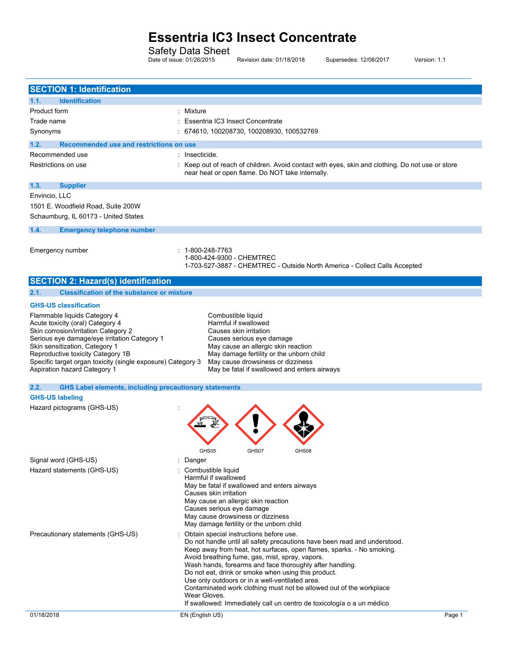Safety Data Sheet

Date of issue: 01/26/2015 Revision date: 01/18/2018 Supersedes: 12/08/2017 Version: 1.1

| <b>SECTION 1: Identification</b>                                      |                                                                                                                        |
|-----------------------------------------------------------------------|------------------------------------------------------------------------------------------------------------------------|
| <b>Identification</b><br>1.1.                                         |                                                                                                                        |
| Product form                                                          | : Mixture                                                                                                              |
| Trade name                                                            | : Essentria IC3 Insect Concentrate                                                                                     |
| Synonyms                                                              | : 674610, 100208730, 100208930, 100532769                                                                              |
| 1.2.<br>Recommended use and restrictions on use                       |                                                                                                                        |
| Recommended use                                                       | : Insecticide.                                                                                                         |
| Restrictions on use                                                   | : Keep out of reach of children. Avoid contact with eyes, skin and clothing. Do not use or store                       |
|                                                                       | near heat or open flame. Do NOT take internally.                                                                       |
| 1.3.<br><b>Supplier</b>                                               |                                                                                                                        |
| Envincio, LLC                                                         |                                                                                                                        |
| 1501 E. Woodfield Road, Suite 200W                                    |                                                                                                                        |
| Schaumburg, IL 60173 - United States                                  |                                                                                                                        |
| 1.4.<br><b>Emergency telephone number</b>                             |                                                                                                                        |
|                                                                       |                                                                                                                        |
| Emergency number                                                      | : 1-800-248-7763<br>1-800-424-9300 - CHEMTREC                                                                          |
|                                                                       | 1-703-527-3887 - CHEMTREC - Outside North America - Collect Calls Accepted                                             |
| <b>SECTION 2: Hazard(s) identification</b>                            |                                                                                                                        |
| 2.1.<br><b>Classification of the substance or mixture</b>             |                                                                                                                        |
|                                                                       |                                                                                                                        |
| <b>GHS-US classification</b>                                          |                                                                                                                        |
| Flammable liquids Category 4<br>Acute toxicity (oral) Category 4      | Combustible liquid<br>Harmful if swallowed                                                                             |
| Skin corrosion/irritation Category 2                                  | Causes skin irritation                                                                                                 |
| Serious eye damage/eye irritation Category 1                          | Causes serious eye damage                                                                                              |
| Skin sensitization, Category 1                                        | May cause an allergic skin reaction                                                                                    |
| Reproductive toxicity Category 1B                                     | May damage fertility or the unborn child                                                                               |
| Specific target organ toxicity (single exposure) Category 3           | May cause drowsiness or dizziness                                                                                      |
| Aspiration hazard Category 1                                          | May be fatal if swallowed and enters airways                                                                           |
| 2.2.<br><b>GHS Label elements, including precautionary statements</b> |                                                                                                                        |
| <b>GHS-US labeling</b>                                                |                                                                                                                        |
| Hazard pictograms (GHS-US)                                            |                                                                                                                        |
|                                                                       |                                                                                                                        |
|                                                                       |                                                                                                                        |
|                                                                       |                                                                                                                        |
|                                                                       |                                                                                                                        |
|                                                                       | GHS05<br>GHS07<br>GHS08                                                                                                |
| Signal word (GHS-US)                                                  | : Danger                                                                                                               |
| Hazard statements (GHS-US)                                            | Combustible liquid                                                                                                     |
|                                                                       | Harmful if swallowed                                                                                                   |
|                                                                       | May be fatal if swallowed and enters airways                                                                           |
|                                                                       | Causes skin irritation<br>May cause an allergic skin reaction                                                          |
|                                                                       | Causes serious eye damage                                                                                              |
|                                                                       | May cause drowsiness or dizziness                                                                                      |
|                                                                       | May damage fertility or the unborn child                                                                               |
| Precautionary statements (GHS-US)                                     | Obtain special instructions before use.                                                                                |
|                                                                       | Do not handle until all safety precautions have been read and understood.                                              |
|                                                                       | Keep away from heat, hot surfaces, open flames, sparks. - No smoking.                                                  |
|                                                                       | Avoid breathing fume, gas, mist, spray, vapors.                                                                        |
|                                                                       | Wash hands, forearms and face thoroughly after handling.                                                               |
|                                                                       | Do not eat, drink or smoke when using this product.                                                                    |
|                                                                       | Use only outdoors or in a well-ventilated area.<br>Contaminated work clothing must not be allowed out of the workplace |
|                                                                       | Wear Gloves.                                                                                                           |
|                                                                       | If swallowed: Immediately call un centro de toxicología o a un médico                                                  |
| 01/18/2018                                                            | EN (English US)<br>Page 1                                                                                              |
|                                                                       |                                                                                                                        |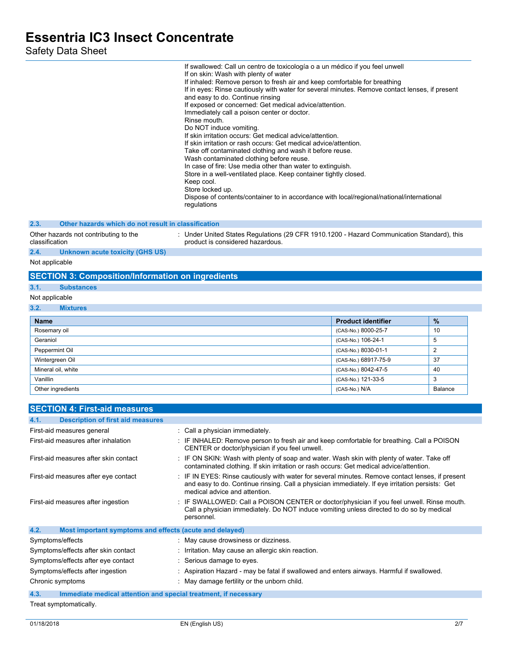|                                                                 | If swallowed: Call un centro de toxicología o a un médico if you feel unwell<br>If on skin: Wash with plenty of water<br>If inhaled: Remove person to fresh air and keep comfortable for breathing<br>If in eyes: Rinse cautiously with water for several minutes. Remove contact lenses, if present<br>and easy to do. Continue rinsing<br>If exposed or concerned: Get medical advice/attention.<br>Immediately call a poison center or doctor.<br>Rinse mouth.<br>Do NOT induce vomiting.<br>If skin irritation occurs: Get medical advice/attention.<br>If skin irritation or rash occurs: Get medical advice/attention.<br>Take off contaminated clothing and wash it before reuse.<br>Wash contaminated clothing before reuse.<br>In case of fire: Use media other than water to extinguish.<br>Store in a well-ventilated place. Keep container tightly closed.<br>Keep cool.<br>Store locked up.<br>Dispose of contents/container to in accordance with local/regional/national/international<br>regulations |                                           |                |
|-----------------------------------------------------------------|----------------------------------------------------------------------------------------------------------------------------------------------------------------------------------------------------------------------------------------------------------------------------------------------------------------------------------------------------------------------------------------------------------------------------------------------------------------------------------------------------------------------------------------------------------------------------------------------------------------------------------------------------------------------------------------------------------------------------------------------------------------------------------------------------------------------------------------------------------------------------------------------------------------------------------------------------------------------------------------------------------------------|-------------------------------------------|----------------|
| 2.3.<br>Other hazards which do not result in classification     |                                                                                                                                                                                                                                                                                                                                                                                                                                                                                                                                                                                                                                                                                                                                                                                                                                                                                                                                                                                                                      |                                           |                |
| Other hazards not contributing to the<br>classification         | : Under United States Regulations (29 CFR 1910.1200 - Hazard Communication Standard), this<br>product is considered hazardous.                                                                                                                                                                                                                                                                                                                                                                                                                                                                                                                                                                                                                                                                                                                                                                                                                                                                                       |                                           |                |
| 2.4.<br><b>Unknown acute toxicity (GHS US)</b>                  |                                                                                                                                                                                                                                                                                                                                                                                                                                                                                                                                                                                                                                                                                                                                                                                                                                                                                                                                                                                                                      |                                           |                |
| Not applicable                                                  |                                                                                                                                                                                                                                                                                                                                                                                                                                                                                                                                                                                                                                                                                                                                                                                                                                                                                                                                                                                                                      |                                           |                |
| <b>SECTION 3: Composition/Information on ingredients</b>        |                                                                                                                                                                                                                                                                                                                                                                                                                                                                                                                                                                                                                                                                                                                                                                                                                                                                                                                                                                                                                      |                                           |                |
| 3.1.<br><b>Substances</b>                                       |                                                                                                                                                                                                                                                                                                                                                                                                                                                                                                                                                                                                                                                                                                                                                                                                                                                                                                                                                                                                                      |                                           |                |
| Not applicable                                                  |                                                                                                                                                                                                                                                                                                                                                                                                                                                                                                                                                                                                                                                                                                                                                                                                                                                                                                                                                                                                                      |                                           |                |
| 3.2.<br><b>Mixtures</b>                                         |                                                                                                                                                                                                                                                                                                                                                                                                                                                                                                                                                                                                                                                                                                                                                                                                                                                                                                                                                                                                                      |                                           |                |
|                                                                 |                                                                                                                                                                                                                                                                                                                                                                                                                                                                                                                                                                                                                                                                                                                                                                                                                                                                                                                                                                                                                      |                                           |                |
| <b>Name</b>                                                     |                                                                                                                                                                                                                                                                                                                                                                                                                                                                                                                                                                                                                                                                                                                                                                                                                                                                                                                                                                                                                      | <b>Product identifier</b>                 | %              |
| Rosemary oil<br>Geraniol                                        |                                                                                                                                                                                                                                                                                                                                                                                                                                                                                                                                                                                                                                                                                                                                                                                                                                                                                                                                                                                                                      | (CAS-No.) 8000-25-7                       | 10<br>5        |
| Peppermint Oil                                                  |                                                                                                                                                                                                                                                                                                                                                                                                                                                                                                                                                                                                                                                                                                                                                                                                                                                                                                                                                                                                                      | (CAS-No.) 106-24-1<br>(CAS-No.) 8030-01-1 | $\overline{c}$ |
| Wintergreen Oil                                                 |                                                                                                                                                                                                                                                                                                                                                                                                                                                                                                                                                                                                                                                                                                                                                                                                                                                                                                                                                                                                                      | (CAS-No.) 68917-75-9                      | 37             |
| Mineral oil, white                                              |                                                                                                                                                                                                                                                                                                                                                                                                                                                                                                                                                                                                                                                                                                                                                                                                                                                                                                                                                                                                                      | (CAS-No.) 8042-47-5                       | 40             |
| Vanillin                                                        |                                                                                                                                                                                                                                                                                                                                                                                                                                                                                                                                                                                                                                                                                                                                                                                                                                                                                                                                                                                                                      | (CAS-No.) 121-33-5                        | 3              |
| Other ingredients                                               |                                                                                                                                                                                                                                                                                                                                                                                                                                                                                                                                                                                                                                                                                                                                                                                                                                                                                                                                                                                                                      | $(CAS-No.)$ N/A                           | <b>Balance</b> |
|                                                                 |                                                                                                                                                                                                                                                                                                                                                                                                                                                                                                                                                                                                                                                                                                                                                                                                                                                                                                                                                                                                                      |                                           |                |
| <b>SECTION 4: First-aid measures</b>                            |                                                                                                                                                                                                                                                                                                                                                                                                                                                                                                                                                                                                                                                                                                                                                                                                                                                                                                                                                                                                                      |                                           |                |
| <b>Description of first aid measures</b><br>4.1.                |                                                                                                                                                                                                                                                                                                                                                                                                                                                                                                                                                                                                                                                                                                                                                                                                                                                                                                                                                                                                                      |                                           |                |
| First-aid measures general                                      | : Call a physician immediately.                                                                                                                                                                                                                                                                                                                                                                                                                                                                                                                                                                                                                                                                                                                                                                                                                                                                                                                                                                                      |                                           |                |
| First-aid measures after inhalation                             | : IF INHALED: Remove person to fresh air and keep comfortable for breathing. Call a POISON<br>CENTER or doctor/physician if you feel unwell.                                                                                                                                                                                                                                                                                                                                                                                                                                                                                                                                                                                                                                                                                                                                                                                                                                                                         |                                           |                |
| First-aid measures after skin contact                           | : IF ON SKIN: Wash with plenty of soap and water. Wash skin with plenty of water. Take off<br>contaminated clothing. If skin irritation or rash occurs: Get medical advice/attention.                                                                                                                                                                                                                                                                                                                                                                                                                                                                                                                                                                                                                                                                                                                                                                                                                                |                                           |                |
| First-aid measures after eye contact                            | : IF IN EYES: Rinse cautiously with water for several minutes. Remove contact lenses, if present<br>and easy to do. Continue rinsing. Call a physician immediately. If eye irritation persists: Get<br>medical advice and attention.                                                                                                                                                                                                                                                                                                                                                                                                                                                                                                                                                                                                                                                                                                                                                                                 |                                           |                |
| First-aid measures after ingestion                              | IF SWALLOWED: Call a POISON CENTER or doctor/physician if you feel unwell. Rinse mouth.<br>Call a physician immediately. Do NOT induce vomiting unless directed to do so by medical<br>personnel.                                                                                                                                                                                                                                                                                                                                                                                                                                                                                                                                                                                                                                                                                                                                                                                                                    |                                           |                |
| Most important symptoms and effects (acute and delayed)<br>4.2. |                                                                                                                                                                                                                                                                                                                                                                                                                                                                                                                                                                                                                                                                                                                                                                                                                                                                                                                                                                                                                      |                                           |                |
| Symptoms/effects                                                | : May cause drowsiness or dizziness.                                                                                                                                                                                                                                                                                                                                                                                                                                                                                                                                                                                                                                                                                                                                                                                                                                                                                                                                                                                 |                                           |                |
| Symptoms/effects after skin contact                             | : Irritation. May cause an allergic skin reaction.                                                                                                                                                                                                                                                                                                                                                                                                                                                                                                                                                                                                                                                                                                                                                                                                                                                                                                                                                                   |                                           |                |
| Symptoms/effects after eye contact                              | Serious damage to eyes.                                                                                                                                                                                                                                                                                                                                                                                                                                                                                                                                                                                                                                                                                                                                                                                                                                                                                                                                                                                              |                                           |                |
| Symptoms/effects after ingestion                                | : Aspiration Hazard - may be fatal if swallowed and enters airways. Harmful if swallowed.                                                                                                                                                                                                                                                                                                                                                                                                                                                                                                                                                                                                                                                                                                                                                                                                                                                                                                                            |                                           |                |

Chronic symptoms  $\cdot$  May damage fertility or the unborn child.

**4.3. Immediate medical attention and special treatment, if necessary** Treat symptomatically.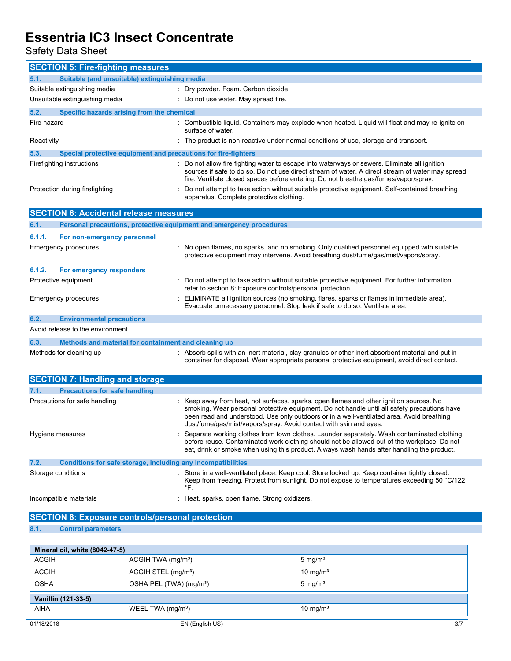Safety Data Sheet

| <b>SECTION 5: Fire-fighting measures</b>                                    |                                                                                                                                                                                                                                                                                                                                                            |
|-----------------------------------------------------------------------------|------------------------------------------------------------------------------------------------------------------------------------------------------------------------------------------------------------------------------------------------------------------------------------------------------------------------------------------------------------|
| 5.1.<br>Suitable (and unsuitable) extinguishing media                       |                                                                                                                                                                                                                                                                                                                                                            |
| Suitable extinguishing media                                                | : Dry powder. Foam. Carbon dioxide.                                                                                                                                                                                                                                                                                                                        |
| Unsuitable extinguishing media                                              | : Do not use water. May spread fire.                                                                                                                                                                                                                                                                                                                       |
| 5.2.<br>Specific hazards arising from the chemical                          |                                                                                                                                                                                                                                                                                                                                                            |
| Fire hazard                                                                 | : Combustible liquid. Containers may explode when heated. Liquid will float and may re-ignite on<br>surface of water.                                                                                                                                                                                                                                      |
| Reactivity                                                                  | : The product is non-reactive under normal conditions of use, storage and transport.                                                                                                                                                                                                                                                                       |
| 5.3.<br>Special protective equipment and precautions for fire-fighters      |                                                                                                                                                                                                                                                                                                                                                            |
| Firefighting instructions                                                   | : Do not allow fire fighting water to escape into waterways or sewers. Eliminate all ignition<br>sources if safe to do so. Do not use direct stream of water. A direct stream of water may spread<br>fire. Ventilate closed spaces before entering. Do not breathe gas/fumes/vapor/spray.                                                                  |
| Protection during firefighting                                              | Do not attempt to take action without suitable protective equipment. Self-contained breathing<br>apparatus. Complete protective clothing.                                                                                                                                                                                                                  |
| <b>SECTION 6: Accidental release measures</b>                               |                                                                                                                                                                                                                                                                                                                                                            |
| Personal precautions, protective equipment and emergency procedures<br>6.1. |                                                                                                                                                                                                                                                                                                                                                            |
| 6.1.1.<br>For non-emergency personnel                                       |                                                                                                                                                                                                                                                                                                                                                            |
| <b>Emergency procedures</b>                                                 | : No open flames, no sparks, and no smoking. Only qualified personnel equipped with suitable<br>protective equipment may intervene. Avoid breathing dust/fume/gas/mist/vapors/spray.                                                                                                                                                                       |
| 6.1.2.<br>For emergency responders                                          |                                                                                                                                                                                                                                                                                                                                                            |
| Protective equipment                                                        | Do not attempt to take action without suitable protective equipment. For further information<br>refer to section 8: Exposure controls/personal protection.                                                                                                                                                                                                 |
| Emergency procedures                                                        | ELIMINATE all ignition sources (no smoking, flares, sparks or flames in immediate area).<br>Evacuate unnecessary personnel. Stop leak if safe to do so. Ventilate area.                                                                                                                                                                                    |
| 6.2.<br><b>Environmental precautions</b>                                    |                                                                                                                                                                                                                                                                                                                                                            |
| Avoid release to the environment.                                           |                                                                                                                                                                                                                                                                                                                                                            |
| Methods and material for containment and cleaning up<br>6.3.                |                                                                                                                                                                                                                                                                                                                                                            |
| Methods for cleaning up                                                     | : Absorb spills with an inert material, clay granules or other inert absorbent material and put in<br>container for disposal. Wear appropriate personal protective equipment, avoid direct contact.                                                                                                                                                        |
| <b>SECTION 7: Handling and storage</b>                                      |                                                                                                                                                                                                                                                                                                                                                            |
| 7.1.<br><b>Precautions for safe handling</b>                                |                                                                                                                                                                                                                                                                                                                                                            |
| Precautions for safe handling                                               | : Keep away from heat, hot surfaces, sparks, open flames and other ignition sources. No<br>smoking. Wear personal protective equipment. Do not handle until all safety precautions have<br>been read and understood. Use only outdoors or in a well-ventilated area. Avoid breathing<br>dust/fume/gas/mist/vapors/spray. Avoid contact with skin and eyes. |
| Hygiene measures                                                            | : Separate working clothes from town clothes. Launder separately. Wash contaminated clothing<br>before reuse. Contaminated work clothing should not be allowed out of the workplace. Do not<br>eat, drink or smoke when using this product. Always wash hands after handling the product.                                                                  |
| 7.2.<br>Conditions for safe storage, including any incompatibilities        |                                                                                                                                                                                                                                                                                                                                                            |
| Storage conditions                                                          | : Store in a well-ventilated place. Keep cool. Store locked up. Keep container tightly closed.<br>Keep from freezing. Protect from sunlight. Do not expose to temperatures exceeding 50 °C/122<br>°F.                                                                                                                                                      |
| Incompatible materials                                                      | : Heat, sparks, open flame. Strong oxidizers.                                                                                                                                                                                                                                                                                                              |
| <b>SECTION 8: Exposure controls/personal protection</b>                     |                                                                                                                                                                                                                                                                                                                                                            |
| <b>Control parameters</b><br>8.1.                                           |                                                                                                                                                                                                                                                                                                                                                            |

| Mineral oil, white (8042-47-5) |                                     |                      |
|--------------------------------|-------------------------------------|----------------------|
| <b>ACGIH</b>                   | ACGIH TWA (mg/m <sup>3</sup> )      | 5 mg/ $m3$           |
| <b>ACGIH</b>                   | ACGIH STEL (mg/m <sup>3</sup> )     | $10 \text{ mg/m}^3$  |
| <b>OSHA</b>                    | OSHA PEL (TWA) (mg/m <sup>3</sup> ) | $5 \text{ mg/m}^3$   |
| Vanillin (121-33-5)            |                                     |                      |
| AIHA                           | WEEL TWA (mg/m <sup>3</sup> )       | 10 mg/m <sup>3</sup> |
| 01/18/2018                     | EN (English US)                     | 3/7                  |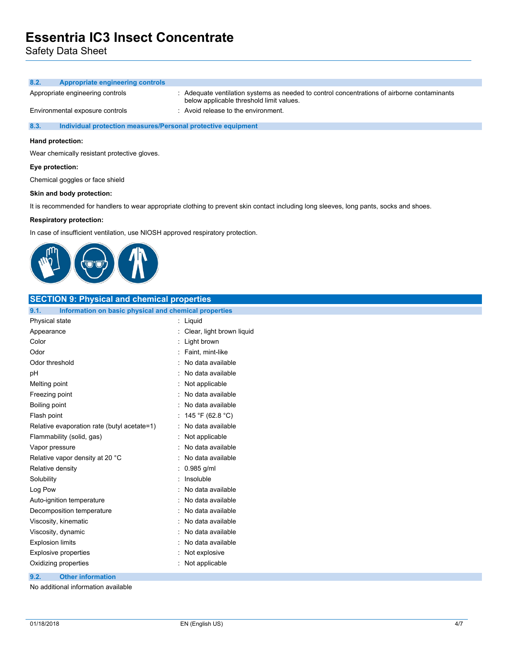Safety Data Sheet

| 8.2.<br><b>Appropriate engineering controls</b>                      |                                                                                                                                         |
|----------------------------------------------------------------------|-----------------------------------------------------------------------------------------------------------------------------------------|
| Appropriate engineering controls                                     | : Adequate ventilation systems as needed to control concentrations of airborne contaminants<br>below applicable threshold limit values. |
| Environmental exposure controls                                      | $\therefore$ Avoid release to the environment.                                                                                          |
| 8.3.<br>Individual protection measures/Personal protective equipment |                                                                                                                                         |
| Hand protection:                                                     |                                                                                                                                         |

Wear chemically resistant protective gloves.

### **Eye protection:**

Chemical goggles or face shield

### **Skin and body protection:**

It is recommended for handlers to wear appropriate clothing to prevent skin contact including long sleeves, long pants, socks and shoes.

### **Respiratory protection:**

In case of insufficient ventilation, use NIOSH approved respiratory protection.



| <b>SECTION 9: Physical and chemical properties</b>            |                           |
|---------------------------------------------------------------|---------------------------|
| 9.1.<br>Information on basic physical and chemical properties |                           |
| Physical state                                                | : Liquid                  |
| Appearance                                                    | Clear, light brown liquid |
| Color                                                         | : Light brown             |
| Odor                                                          | Faint, mint-like          |
| Odor threshold                                                | No data available         |
| pH                                                            | No data available         |
| Melting point                                                 | Not applicable            |
| Freezing point                                                | No data available         |
| Boiling point                                                 | No data available         |
| Flash point                                                   | : 145 °F (62.8 °C)        |
| Relative evaporation rate (butyl acetate=1)                   | : No data available       |
| Flammability (solid, gas)                                     | Not applicable            |
| Vapor pressure                                                | : No data available       |
| Relative vapor density at 20 °C                               | : No data available       |
| Relative density                                              | $: 0.985$ g/ml            |
| Solubility                                                    | : Insoluble               |
| Log Pow                                                       | No data available         |
| Auto-ignition temperature                                     | : No data available       |
| Decomposition temperature                                     | No data available         |
| Viscosity, kinematic                                          | No data available         |
| Viscosity, dynamic                                            | No data available         |
| <b>Explosion limits</b>                                       | No data available         |
| <b>Explosive properties</b>                                   | Not explosive             |
| Oxidizing properties                                          | : Not applicable          |
| <b>Other information</b><br>9.2.                              |                           |

No additional information available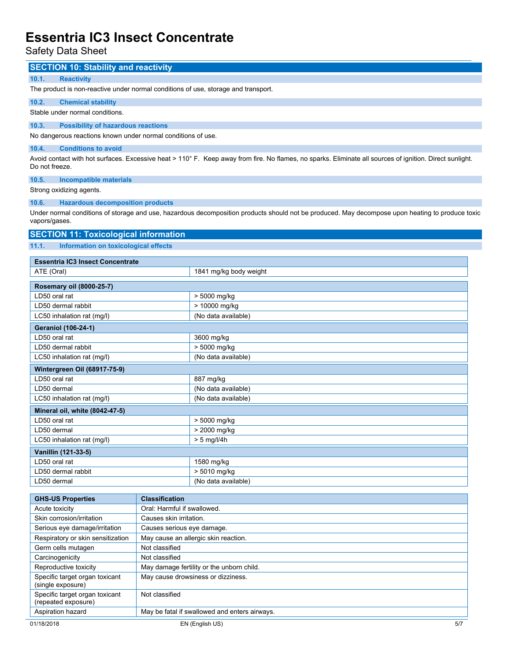Safety Data Sheet

| <b>SECTION 10: Stability and reactivity</b>                                        |                             |                                                                                                                                                          |  |  |
|------------------------------------------------------------------------------------|-----------------------------|----------------------------------------------------------------------------------------------------------------------------------------------------------|--|--|
| 10.1.<br><b>Reactivity</b>                                                         |                             |                                                                                                                                                          |  |  |
| The product is non-reactive under normal conditions of use, storage and transport. |                             |                                                                                                                                                          |  |  |
| 10.2.<br><b>Chemical stability</b>                                                 |                             |                                                                                                                                                          |  |  |
| Stable under normal conditions.                                                    |                             |                                                                                                                                                          |  |  |
|                                                                                    |                             |                                                                                                                                                          |  |  |
| 10.3.<br><b>Possibility of hazardous reactions</b>                                 |                             |                                                                                                                                                          |  |  |
| No dangerous reactions known under normal conditions of use.                       |                             |                                                                                                                                                          |  |  |
| 10.4.<br><b>Conditions to avoid</b>                                                |                             |                                                                                                                                                          |  |  |
| Do not freeze.                                                                     |                             | Avoid contact with hot surfaces. Excessive heat > 110° F. Keep away from fire. No flames, no sparks. Eliminate all sources of ignition. Direct sunlight. |  |  |
| 10.5.<br><b>Incompatible materials</b>                                             |                             |                                                                                                                                                          |  |  |
| Strong oxidizing agents.                                                           |                             |                                                                                                                                                          |  |  |
| 10.6.<br><b>Hazardous decomposition products</b>                                   |                             |                                                                                                                                                          |  |  |
|                                                                                    |                             | Under normal conditions of storage and use, hazardous decomposition products should not be produced. May decompose upon heating to produce toxic         |  |  |
| vapors/gases.                                                                      |                             |                                                                                                                                                          |  |  |
| <b>SECTION 11: Toxicological information</b>                                       |                             |                                                                                                                                                          |  |  |
|                                                                                    |                             |                                                                                                                                                          |  |  |
| 11.1.<br>Information on toxicological effects                                      |                             |                                                                                                                                                          |  |  |
| <b>Essentria IC3 Insect Concentrate</b>                                            |                             |                                                                                                                                                          |  |  |
| ATE (Oral)                                                                         |                             | 1841 mg/kg body weight                                                                                                                                   |  |  |
|                                                                                    |                             |                                                                                                                                                          |  |  |
| Rosemary oil (8000-25-7)<br>LD50 oral rat                                          |                             | > 5000 mg/kg                                                                                                                                             |  |  |
| LD50 dermal rabbit                                                                 |                             | > 10000 mg/kg                                                                                                                                            |  |  |
| LC50 inhalation rat (mg/l)                                                         |                             | (No data available)                                                                                                                                      |  |  |
|                                                                                    |                             |                                                                                                                                                          |  |  |
| <b>Geraniol (106-24-1)</b>                                                         |                             |                                                                                                                                                          |  |  |
| LD50 oral rat                                                                      |                             | 3600 mg/kg                                                                                                                                               |  |  |
| LD50 dermal rabbit                                                                 |                             | > 5000 mg/kg                                                                                                                                             |  |  |
| LC50 inhalation rat (mg/l)<br>(No data available)                                  |                             |                                                                                                                                                          |  |  |
| Wintergreen Oil (68917-75-9)                                                       |                             |                                                                                                                                                          |  |  |
| LD50 oral rat                                                                      |                             | 887 mg/kg                                                                                                                                                |  |  |
| LD50 dermal                                                                        |                             | (No data available)                                                                                                                                      |  |  |
| LC50 inhalation rat (mg/l)                                                         |                             | (No data available)                                                                                                                                      |  |  |
| Mineral oil, white (8042-47-5)                                                     |                             |                                                                                                                                                          |  |  |
| LD50 oral rat                                                                      |                             | > 5000 mg/kg                                                                                                                                             |  |  |
| LD50 dermal                                                                        |                             | > 2000 mg/kg                                                                                                                                             |  |  |
| LC50 inhalation rat (mg/l)                                                         |                             | $> 5$ mg/l/4h                                                                                                                                            |  |  |
| Vanillin (121-33-5)                                                                |                             |                                                                                                                                                          |  |  |
| LD50 oral rat                                                                      |                             | 1580 mg/kg                                                                                                                                               |  |  |
| LD50 dermal rabbit                                                                 |                             | > 5010 mg/kg                                                                                                                                             |  |  |
| LD50 dermal                                                                        |                             | (No data available)                                                                                                                                      |  |  |
|                                                                                    |                             |                                                                                                                                                          |  |  |
| <b>GHS-US Properties</b>                                                           | <b>Classification</b>       |                                                                                                                                                          |  |  |
| Acute toxicity                                                                     | Oral: Harmful if swallowed. |                                                                                                                                                          |  |  |
| Skin corrosion/irritation                                                          | Causes skin irritation.     |                                                                                                                                                          |  |  |
| Serious eye damage/irritation                                                      | Causes serious eye damage.  |                                                                                                                                                          |  |  |
| Respiratory or skin sensitization                                                  |                             | May cause an allergic skin reaction.                                                                                                                     |  |  |
| Germ cells mutagen                                                                 | Not classified              |                                                                                                                                                          |  |  |
| Carcinogenicity                                                                    | Not classified              |                                                                                                                                                          |  |  |
| Reproductive toxicity                                                              |                             | May damage fertility or the unborn child.                                                                                                                |  |  |
| Specific target organ toxicant<br>(single exposure)                                |                             | May cause drowsiness or dizziness.                                                                                                                       |  |  |
| Specific target organ toxicant                                                     | Not classified              |                                                                                                                                                          |  |  |

(repeated exposure)

Aspiration hazard May be fatal if swallowed and enters airways.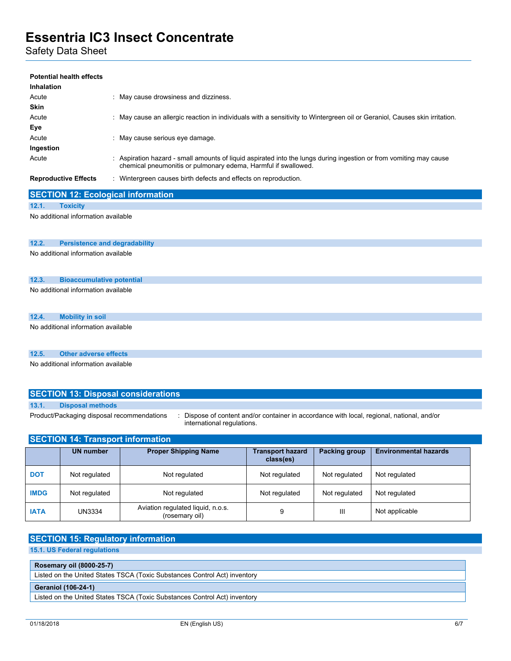Safety Data Sheet

## **Potential health effects Inhalation** Acute : May cause drowsiness and dizziness. **Skin** Acute : May cause an allergic reaction in individuals with a sensitivity to Wintergreen oil or Geraniol, Causes skin irritation. **Eye** Acute : May cause serious eye damage. **Ingestion** Acute : Aspiration hazard - small amounts of liquid aspirated into the lungs during ingestion or from vomiting may cause chemical pneumonitis or pulmonary edema, Harmful if swallowed. **Reproductive Effects** : Wintergreen causes birth defects and effects on reproduction.

## **SECTION 12: Ecological information 12.1. Toxicity**

No additional information available

#### **12.2. Persistence and degradability**

No additional information available

#### **12.3. Bioaccumulative potential**

No additional information available

|       | No additional information available        |                                            |                                      |               |                                                                                          |  |
|-------|--------------------------------------------|--------------------------------------------|--------------------------------------|---------------|------------------------------------------------------------------------------------------|--|
| 12.4. | <b>Mobility in soil</b>                    |                                            |                                      |               |                                                                                          |  |
|       | No additional information available        |                                            |                                      |               |                                                                                          |  |
| 12.5. | <b>Other adverse effects</b>               |                                            |                                      |               |                                                                                          |  |
|       | No additional information available        | <b>SECTION 13: Disposal considerations</b> |                                      |               |                                                                                          |  |
| 13.1. | <b>Disposal methods</b>                    |                                            |                                      |               |                                                                                          |  |
|       | Product/Packaging disposal recommendations | international regulations.                 |                                      |               | Dispose of content and/or container in accordance with local, regional, national, and/or |  |
|       | <b>SECTION 14: Transport information</b>   |                                            |                                      |               |                                                                                          |  |
|       | <b>UN number</b>                           | <b>Proper Shipping Name</b>                | <b>Transport hazard</b><br>class(es) | Packing group | <b>Environmental hazards</b>                                                             |  |

| <b>DOT</b>  | Not regulated | Not regulated                                       | Not regulated | Not regulated | Not regulated  |
|-------------|---------------|-----------------------------------------------------|---------------|---------------|----------------|
| <b>IMDG</b> | Not regulated | Not regulated                                       | Not regulated | Not regulated | Not regulated  |
| <b>IATA</b> | <b>UN3334</b> | Aviation regulated liquid, n.o.s.<br>(rosemary oil) |               | Ш             | Not applicable |

## **SECTION 15: Regulatory information**

**15.1. US Federal regulations**

| Rosemary oil (8000-25-7)                                                  |
|---------------------------------------------------------------------------|
| Listed on the United States TSCA (Toxic Substances Control Act) inventory |
| <b>Geraniol (106-24-1)</b>                                                |
|                                                                           |